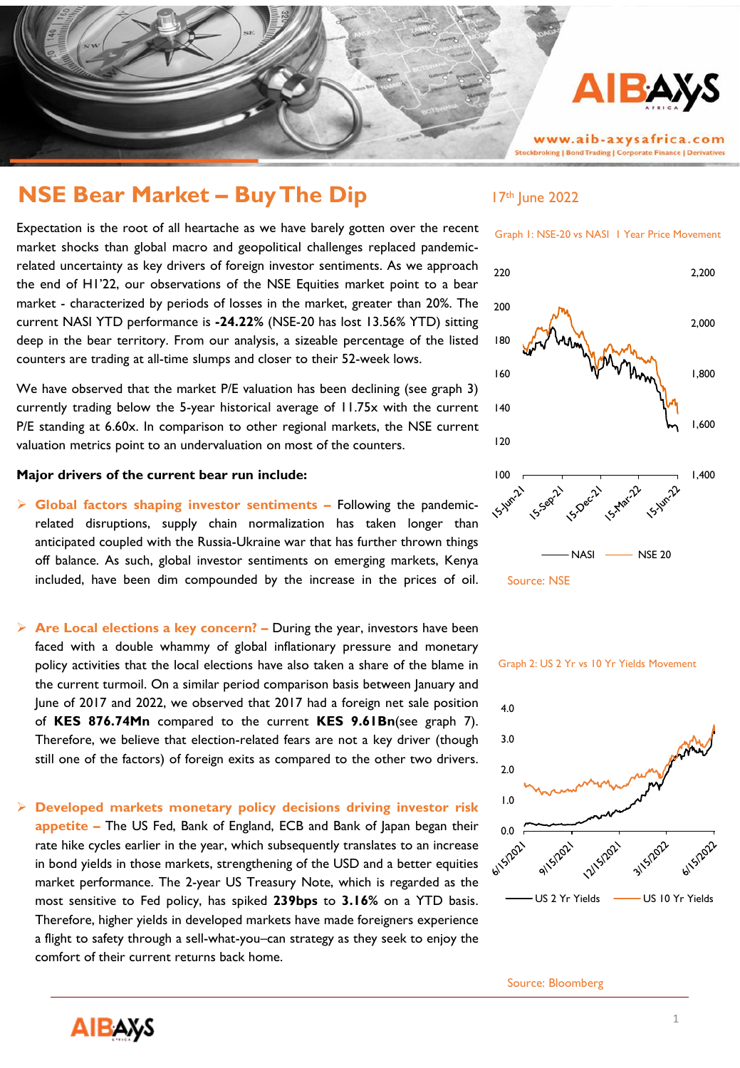

# **NSE Bear Market – Buy The Dip** 17th June 2022

Expectation is the root of all heartache as we have barely gotten over the recent market shocks than global macro and geopolitical challenges replaced pandemicrelated uncertainty as key drivers of foreign investor sentiments. As we approach the end of H1'22, our observations of the NSE Equities market point to a bear market - characterized by periods of losses in the market, greater than 20%. The current NASI YTD performance is **-24.22%** (NSE-20 has lost 13.56% YTD) sitting deep in the bear territory. From our analysis, a sizeable percentage of the listed counters are trading at all-time slumps and closer to their 52-week lows.

We have observed that the market P/E valuation has been declining (see graph 3) currently trading below the 5-year historical average of 11.75x with the current P/E standing at 6.60x. In comparison to other regional markets, the NSE current valuation metrics point to an undervaluation on most of the counters.

## **Major drivers of the current bear run include:**

- ➢ **Global factors shaping investor sentiments –** Following the pandemicrelated disruptions, supply chain normalization has taken longer than anticipated coupled with the Russia-Ukraine war that has further thrown things off balance. As such, global investor sentiments on emerging markets, Kenya included, have been dim compounded by the increase in the prices of oil.
- ➢ **Are Local elections a key concern? –** During the year, investors have been faced with a double whammy of global inflationary pressure and monetary policy activities that the local elections have also taken a share of the blame in the current turmoil. On a similar period comparison basis between January and June of 2017 and 2022, we observed that 2017 had a foreign net sale position of **KES 876.74Mn** compared to the current **KES 9.61Bn**(see graph 7). Therefore, we believe that election-related fears are not a key driver (though still one of the factors) of foreign exits as compared to the other two drivers.
- ➢ **Developed markets monetary policy decisions driving investor risk appetite –** The US Fed, Bank of England, ECB and Bank of Japan began their rate hike cycles earlier in the year, which subsequently translates to an increase in bond yields in those markets, strengthening of the USD and a better equities market performance. The 2-year US Treasury Note, which is regarded as the most sensitive to Fed policy, has spiked **239bps** to **3.16%** on a YTD basis. Therefore, higher yields in developed markets have made foreigners experience a flight to safety through a sell-what-you–can strategy as they seek to enjoy the comfort of their current returns back home.



Graph 2: US 2 Yr vs 10 Yr Yields Movement



Source: Bloomberg

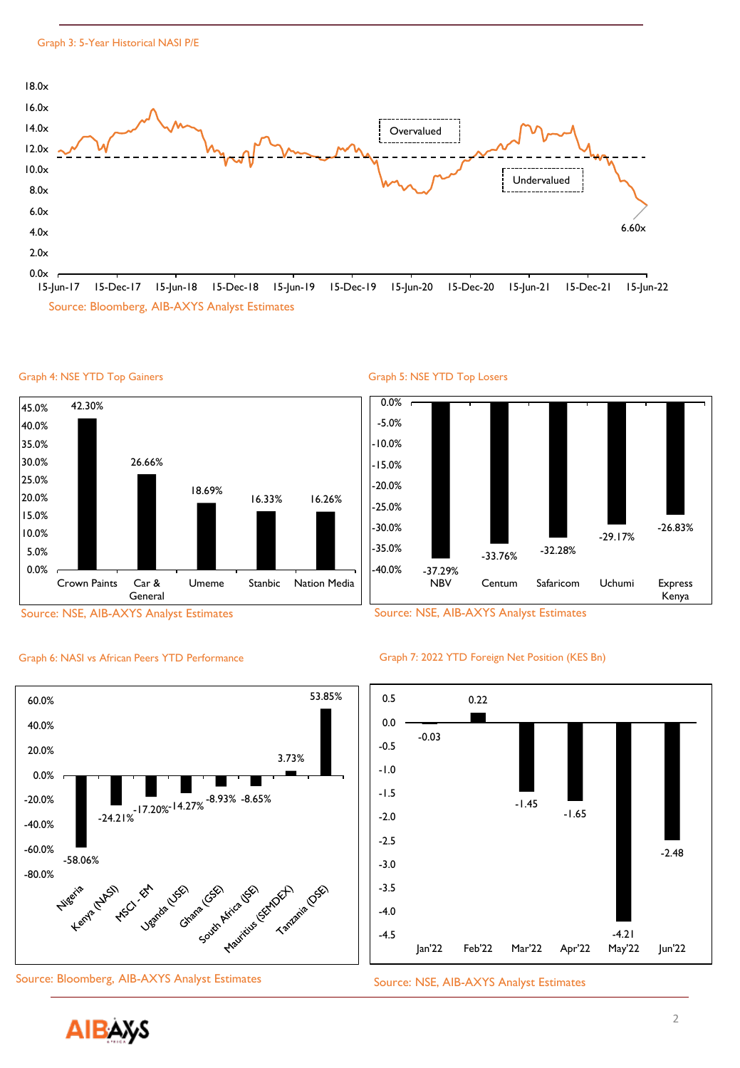

15-Jun-17 15-Dec-17 15-Jun-18 15-Dec-18 15-Jun-19 15-Dec-19 15-Jun-20 15-Dec-20 15-Jun-21 15-Dec-21 15-Jun-22 Source: Bloomberg, AIB-AXYS Analyst Estimates





Graph 5: NSE YTD Top Losers





## Graph 6: NASI vs African Peers YTD Performance Graph 7: 2022 YTD Foreign Net Position (KES Bn)



Source: Bloomberg, AIB-AXYS Analyst Estimates Source: NSE, AIB-AXYS Analyst Estimates





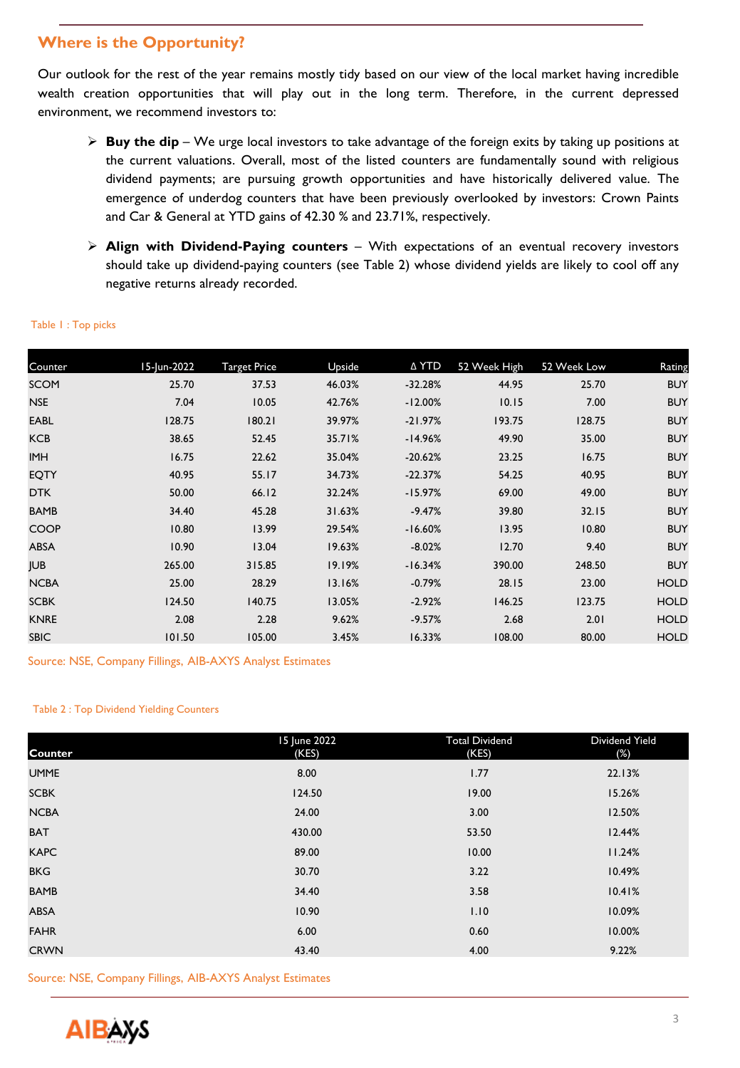## **Where is the Opportunity?**

Our outlook for the rest of the year remains mostly tidy based on our view of the local market having incredible wealth creation opportunities that will play out in the long term. Therefore, in the current depressed environment, we recommend investors to:

- ➢ **Buy the dip** We urge local investors to take advantage of the foreign exits by taking up positions at the current valuations. Overall, most of the listed counters are fundamentally sound with religious dividend payments; are pursuing growth opportunities and have historically delivered value. The emergence of underdog counters that have been previously overlooked by investors: Crown Paints and Car & General at YTD gains of 42.30 % and 23.71%, respectively.
- ➢ **Align with Dividend-Paying counters** With expectations of an eventual recovery investors should take up dividend-paying counters (see Table 2) whose dividend yields are likely to cool off any negative returns already recorded.

| Counter     | 15-Jun-2022 | <b>Target Price</b> | Upside | ∆ YTD     | 52 Week High | 52 Week Low | Rating      |
|-------------|-------------|---------------------|--------|-----------|--------------|-------------|-------------|
| <b>SCOM</b> | 25.70       | 37.53               | 46.03% | $-32.28%$ | 44.95        | 25.70       | <b>BUY</b>  |
| <b>NSE</b>  | 7.04        | 10.05               | 42.76% | $-12.00%$ | 10.15        | 7.00        | <b>BUY</b>  |
| <b>EABL</b> | 128.75      | 180.21              | 39.97% | $-21.97%$ | 193.75       | 128.75      | <b>BUY</b>  |
| <b>KCB</b>  | 38.65       | 52.45               | 35.71% | $-14.96%$ | 49.90        | 35.00       | <b>BUY</b>  |
| <b>IMH</b>  | 16.75       | 22.62               | 35.04% | $-20.62%$ | 23.25        | 16.75       | <b>BUY</b>  |
| <b>EQTY</b> | 40.95       | 55.17               | 34.73% | $-22.37%$ | 54.25        | 40.95       | <b>BUY</b>  |
| <b>DTK</b>  | 50.00       | 66.12               | 32.24% | $-15.97%$ | 69.00        | 49.00       | <b>BUY</b>  |
| <b>BAMB</b> | 34.40       | 45.28               | 31.63% | $-9.47%$  | 39.80        | 32.15       | <b>BUY</b>  |
| <b>COOP</b> | 10.80       | 13.99               | 29.54% | $-16.60%$ | 13.95        | 10.80       | <b>BUY</b>  |
| <b>ABSA</b> | 10.90       | 13.04               | 19.63% | $-8.02%$  | 12.70        | 9.40        | <b>BUY</b>  |
| <b>JUB</b>  | 265.00      | 315.85              | 19.19% | $-16.34%$ | 390.00       | 248.50      | <b>BUY</b>  |
| <b>NCBA</b> | 25.00       | 28.29               | 13.16% | $-0.79%$  | 28.15        | 23.00       | <b>HOLD</b> |
| <b>SCBK</b> | 124.50      | 140.75              | 13.05% | $-2.92%$  | 146.25       | 123.75      | <b>HOLD</b> |
| <b>KNRE</b> | 2.08        | 2.28                | 9.62%  | $-9.57%$  | 2.68         | 2.01        | <b>HOLD</b> |
| <b>SBIC</b> | 101.50      | 105.00              | 3.45%  | 16.33%    | 108.00       | 80.00       | <b>HOLD</b> |

## Table 1 : Top picks

Source: NSE, Company Fillings, AIB-AXYS Analyst Estimates

## Table 2 : Top Dividend Yielding Counters

| Counter     | 15 June 2022<br>(KES) | <b>Total Dividend</b><br>(KES) | Dividend Yield<br>(%) |
|-------------|-----------------------|--------------------------------|-----------------------|
| <b>UMME</b> | 8.00                  | 1.77                           | 22.13%                |
| <b>SCBK</b> | 124.50                | 19.00                          | 15.26%                |
| <b>NCBA</b> | 24.00                 | 3.00                           | 12.50%                |
| <b>BAT</b>  | 430.00                | 53.50                          | 12.44%                |
| <b>KAPC</b> | 89.00                 | 10.00                          | 11.24%                |
| <b>BKG</b>  | 30.70                 | 3.22                           | 10.49%                |
| <b>BAMB</b> | 34.40                 | 3.58                           | 10.41%                |
| <b>ABSA</b> | 10.90                 | 1.10                           | 10.09%                |
| <b>FAHR</b> | 6.00                  | 0.60                           | 10.00%                |
| <b>CRWN</b> | 43.40                 | 4.00                           | 9.22%                 |

Source: NSE, Company Fillings, AIB-AXYS Analyst Estimates